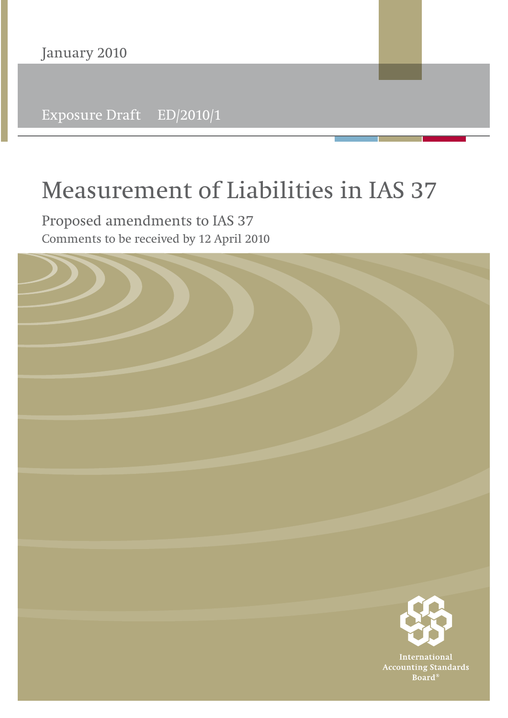Exposure Draft ED/2010/1

# **Measurement of Liabilities in IAS 37**

**Proposed amendments to IAS 37** Comments to be received by 12 April 2010

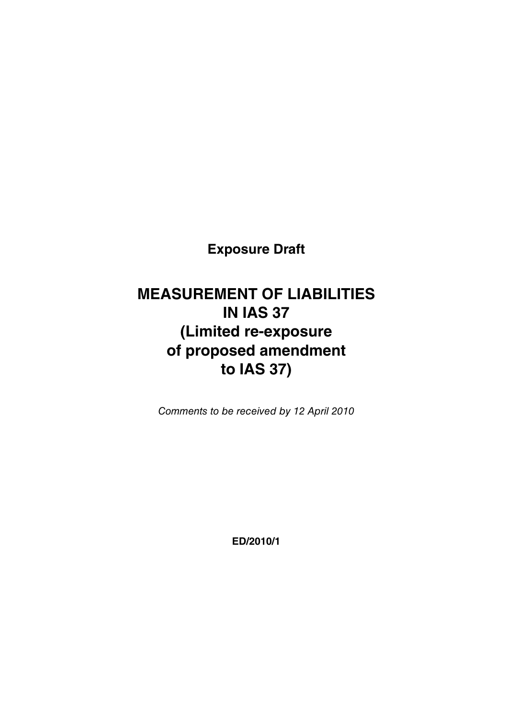**Exposure Draft**

## **MEASUREMENT OF LIABILITIES IN IAS 37 (Limited re-exposure of proposed amendment to IAS 37)**

Comments to be received by 12 April 2010

**ED/2010/1**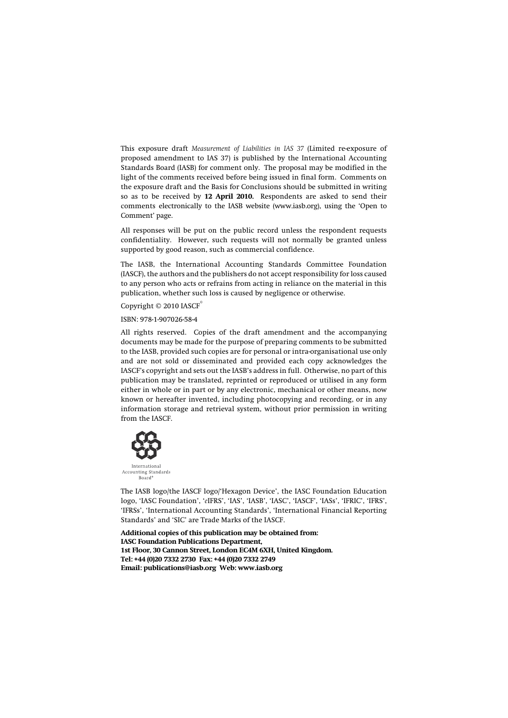This exposure draft *Measurement of Liabilities in IAS 37* (Limited re-exposure of proposed amendment to IAS 37) is published by the International Accounting Standards Board (IASB) for comment only. The proposal may be modified in the light of the comments received before being issued in final form. Comments on the exposure draft and the Basis for Conclusions should be submitted in writing so as to be received by **12 April 2010.** Respondents are asked to send their comments electronically to the IASB website (www.iasb.org), using the 'Open to Comment' page.

All responses will be put on the public record unless the respondent requests confidentiality. However, such requests will not normally be granted unless supported by good reason, such as commercial confidence.

The IASB, the International Accounting Standards Committee Foundation (IASCF), the authors and the publishers do not accept responsibility for loss caused to any person who acts or refrains from acting in reliance on the material in this publication, whether such loss is caused by negligence or otherwise.

Copyright  $©$  2010 IASCF

ISBN: 978-1-907026-58-4

All rights reserved. Copies of the draft amendment and the accompanying documents may be made for the purpose of preparing comments to be submitted to the IASB, provided such copies are for personal or intra-organisational use only and are not sold or disseminated and provided each copy acknowledges the IASCF's copyright and sets out the IASB's address in full. Otherwise, no part of this publication may be translated, reprinted or reproduced or utilised in any form either in whole or in part or by any electronic, mechanical or other means, now known or hereafter invented, including photocopying and recording, or in any information storage and retrieval system, without prior permission in writing from the IASCF.



The IASB logo/the IASCF logo/'Hexagon Device', the IASC Foundation Education logo, 'IASC Foundation', '*e*IFRS', 'IAS', 'IASB', 'IASC', 'IASCF', 'IASs', 'IFRIC', 'IFRS', 'IFRSs', 'International Accounting Standards', 'International Financial Reporting Standards' and 'SIC' are Trade Marks of the IASCF.

**Additional copies of this publication may be obtained from: IASC Foundation Publications Department, 1st Floor, 30 Cannon Street, London EC4M 6XH, United Kingdom. Tel: +44 (0)20 7332 2730 Fax: +44 (0)20 7332 2749 Email: publications@iasb.org Web: www.iasb.org**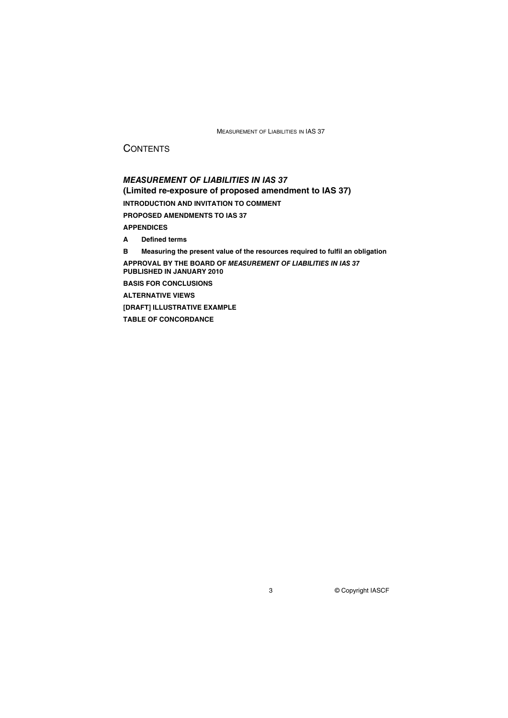## **CONTENTS**

*MEASUREMENT OF LIABILITIES IN IAS 37* **(Limited re-exposure of proposed amendment to IAS 37) INTRODUCTION AND INVITATION TO COMMENT PROPOSED AMENDMENTS TO IAS 37 APPENDICES A Defined terms B Measuring the present value of the resources required to fulfil an obligation APPROVAL BY THE BOARD OF** *MEASUREMENT OF LIABILITIES IN IAS 37* **PUBLISHED IN JANUARY 2010 BASIS FOR CONCLUSIONS ALTERNATIVE VIEWS [DRAFT] ILLUSTRATIVE EXAMPLE TABLE OF CONCORDANCE**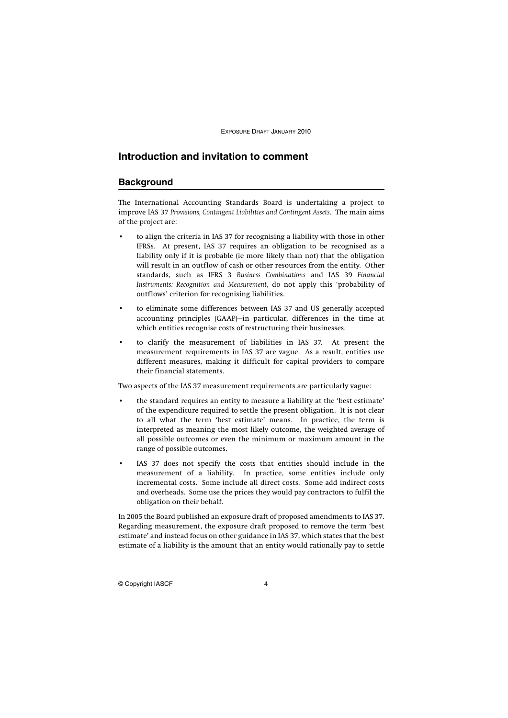## **Introduction and invitation to comment**

## **Background**

The International Accounting Standards Board is undertaking a project to improve IAS 37 *Provisions, Contingent Liabilities and Contingent Assets*. The main aims of the project are:

- to align the criteria in IAS 37 for recognising a liability with those in other IFRSs. At present, IAS 37 requires an obligation to be recognised as a liability only if it is probable (ie more likely than not) that the obligation will result in an outflow of cash or other resources from the entity. Other standards, such as IFRS 3 *Business Combinations* and IAS 39 *Financial Instruments: Recognition and Measurement*, do not apply this 'probability of outflows' criterion for recognising liabilities.
- to eliminate some differences between IAS 37 and US generally accepted accounting principles (GAAP)—in particular, differences in the time at which entities recognise costs of restructuring their businesses.
- to clarify the measurement of liabilities in IAS 37. At present the measurement requirements in IAS 37 are vague. As a result, entities use different measures, making it difficult for capital providers to compare their financial statements.

Two aspects of the IAS 37 measurement requirements are particularly vague:

- the standard requires an entity to measure a liability at the 'best estimate' of the expenditure required to settle the present obligation. It is not clear to all what the term 'best estimate' means. In practice, the term is interpreted as meaning the most likely outcome, the weighted average of all possible outcomes or even the minimum or maximum amount in the range of possible outcomes.
- IAS 37 does not specify the costs that entities should include in the measurement of a liability. In practice, some entities include only incremental costs. Some include all direct costs. Some add indirect costs and overheads. Some use the prices they would pay contractors to fulfil the obligation on their behalf.

In 2005 the Board published an exposure draft of proposed amendments to IAS 37. Regarding measurement, the exposure draft proposed to remove the term 'best estimate' and instead focus on other guidance in IAS 37, which states that the best estimate of a liability is the amount that an entity would rationally pay to settle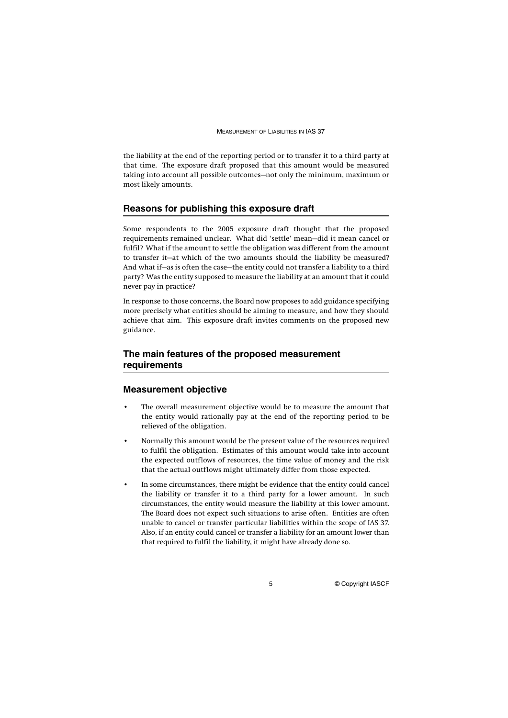the liability at the end of the reporting period or to transfer it to a third party at that time. The exposure draft proposed that this amount would be measured taking into account all possible outcomes—not only the minimum, maximum or most likely amounts.

#### **Reasons for publishing this exposure draft**

Some respondents to the 2005 exposure draft thought that the proposed requirements remained unclear. What did 'settle' mean—did it mean cancel or fulfil? What if the amount to settle the obligation was different from the amount to transfer it—at which of the two amounts should the liability be measured? And what if—as is often the case—the entity could not transfer a liability to a third party? Was the entity supposed to measure the liability at an amount that it could never pay in practice?

In response to those concerns, the Board now proposes to add guidance specifying more precisely what entities should be aiming to measure, and how they should achieve that aim. This exposure draft invites comments on the proposed new guidance.

## **The main features of the proposed measurement requirements**

## **Measurement objective**

- The overall measurement objective would be to measure the amount that the entity would rationally pay at the end of the reporting period to be relieved of the obligation.
- Normally this amount would be the present value of the resources required to fulfil the obligation. Estimates of this amount would take into account the expected outflows of resources, the time value of money and the risk that the actual outflows might ultimately differ from those expected.
- In some circumstances, there might be evidence that the entity could cancel the liability or transfer it to a third party for a lower amount. In such circumstances, the entity would measure the liability at this lower amount. The Board does not expect such situations to arise often. Entities are often unable to cancel or transfer particular liabilities within the scope of IAS 37. Also, if an entity could cancel or transfer a liability for an amount lower than that required to fulfil the liability, it might have already done so.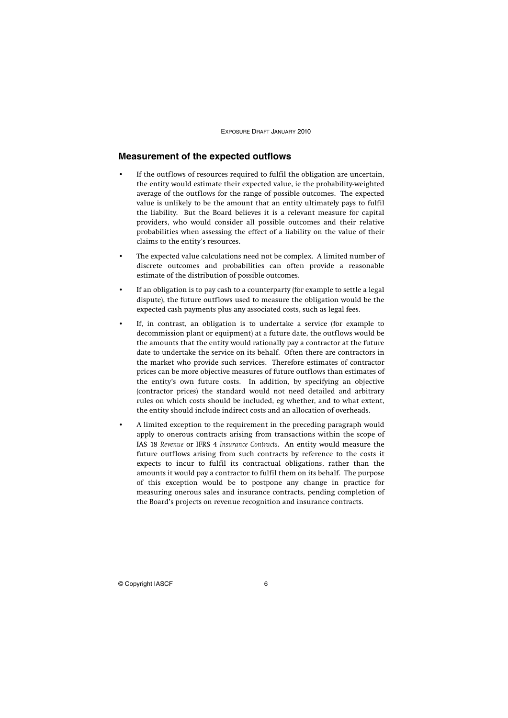## **Measurement of the expected outflows**

- If the outflows of resources required to fulfil the obligation are uncertain, the entity would estimate their expected value, ie the probability-weighted average of the outflows for the range of possible outcomes. The expected value is unlikely to be the amount that an entity ultimately pays to fulfil the liability. But the Board believes it is a relevant measure for capital providers, who would consider all possible outcomes and their relative probabilities when assessing the effect of a liability on the value of their claims to the entity's resources.
- The expected value calculations need not be complex. A limited number of discrete outcomes and probabilities can often provide a reasonable estimate of the distribution of possible outcomes.
- If an obligation is to pay cash to a counterparty (for example to settle a legal dispute), the future outflows used to measure the obligation would be the expected cash payments plus any associated costs, such as legal fees.
- If, in contrast, an obligation is to undertake a service (for example to decommission plant or equipment) at a future date, the outflows would be the amounts that the entity would rationally pay a contractor at the future date to undertake the service on its behalf. Often there are contractors in the market who provide such services. Therefore estimates of contractor prices can be more objective measures of future outflows than estimates of the entity's own future costs. In addition, by specifying an objective (contractor prices) the standard would not need detailed and arbitrary rules on which costs should be included, eg whether, and to what extent, the entity should include indirect costs and an allocation of overheads.
- A limited exception to the requirement in the preceding paragraph would apply to onerous contracts arising from transactions within the scope of IAS 18 *Revenue* or IFRS 4 *Insurance Contracts*. An entity would measure the future outflows arising from such contracts by reference to the costs it expects to incur to fulfil its contractual obligations, rather than the amounts it would pay a contractor to fulfil them on its behalf. The purpose of this exception would be to postpone any change in practice for measuring onerous sales and insurance contracts, pending completion of the Board's projects on revenue recognition and insurance contracts.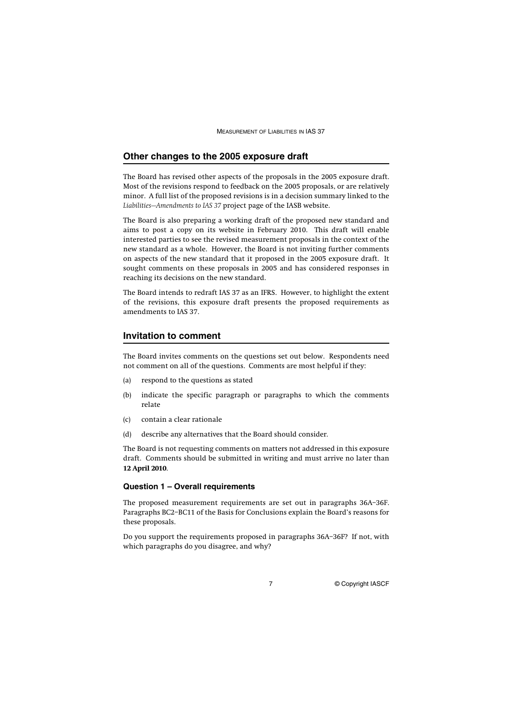## **Other changes to the 2005 exposure draft**

The Board has revised other aspects of the proposals in the 2005 exposure draft. Most of the revisions respond to feedback on the 2005 proposals, or are relatively minor. A full list of the proposed revisions is in a decision summary linked to the *Liabilities—Amendments to IAS 37* project page of the IASB website.

The Board is also preparing a working draft of the proposed new standard and aims to post a copy on its website in February 2010. This draft will enable interested parties to see the revised measurement proposals in the context of the new standard as a whole. However, the Board is not inviting further comments on aspects of the new standard that it proposed in the 2005 exposure draft. It sought comments on these proposals in 2005 and has considered responses in reaching its decisions on the new standard.

The Board intends to redraft IAS 37 as an IFRS. However, to highlight the extent of the revisions, this exposure draft presents the proposed requirements as amendments to IAS 37.

## **Invitation to comment**

The Board invites comments on the questions set out below. Respondents need not comment on all of the questions. Comments are most helpful if they:

- (a) respond to the questions as stated
- (b) indicate the specific paragraph or paragraphs to which the comments relate
- (c) contain a clear rationale
- (d) describe any alternatives that the Board should consider.

The Board is not requesting comments on matters not addressed in this exposure draft. Comments should be submitted in writing and must arrive no later than **12 April 2010**.

#### **Question 1 – Overall requirements**

The proposed measurement requirements are set out in paragraphs 36A–36F. Paragraphs BC2–BC11 of the Basis for Conclusions explain the Board's reasons for these proposals.

Do you support the requirements proposed in paragraphs 36A–36F? If not, with which paragraphs do you disagree, and why?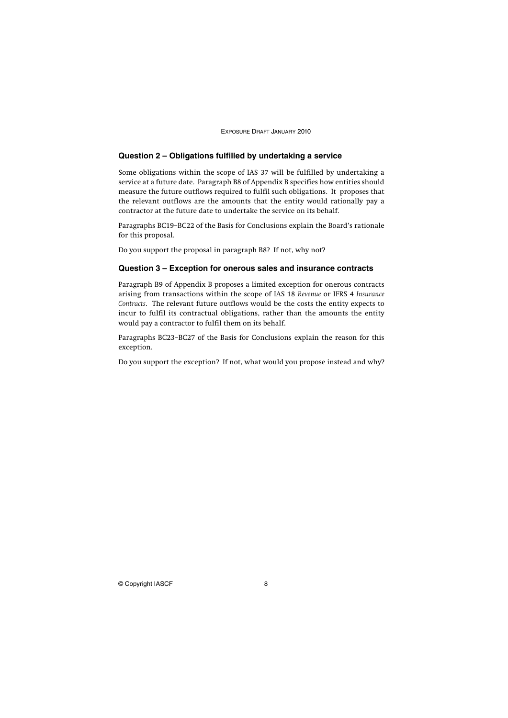### **Question 2 – Obligations fulfilled by undertaking a service**

Some obligations within the scope of IAS 37 will be fulfilled by undertaking a service at a future date. Paragraph B8 of Appendix B specifies how entities should measure the future outflows required to fulfil such obligations. It proposes that the relevant outflows are the amounts that the entity would rationally pay a contractor at the future date to undertake the service on its behalf.

Paragraphs BC19–BC22 of the Basis for Conclusions explain the Board's rationale for this proposal.

Do you support the proposal in paragraph B8? If not, why not?

#### **Question 3 – Exception for onerous sales and insurance contracts**

Paragraph B9 of Appendix B proposes a limited exception for onerous contracts arising from transactions within the scope of IAS 18 *Revenue* or IFRS 4 *Insurance Contracts*. The relevant future outflows would be the costs the entity expects to incur to fulfil its contractual obligations, rather than the amounts the entity would pay a contractor to fulfil them on its behalf.

Paragraphs BC23–BC27 of the Basis for Conclusions explain the reason for this exception.

Do you support the exception? If not, what would you propose instead and why?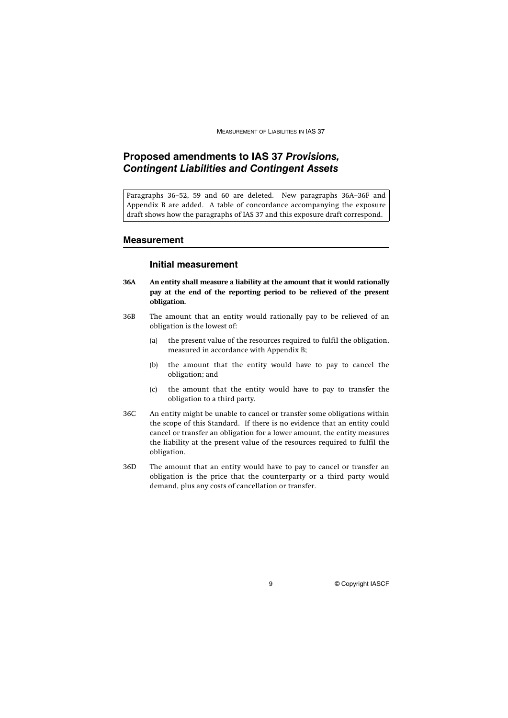## **Proposed amendments to IAS 37** *Provisions, Contingent Liabilities and Contingent Assets*

Paragraphs 36–52, 59 and 60 are deleted. New paragraphs 36A–36F and Appendix B are added. A table of concordance accompanying the exposure draft shows how the paragraphs of IAS 37 and this exposure draft correspond.

### **Measurement**

#### **Initial measurement**

- **36A An entity shall measure a liability at the amount that it would rationally pay at the end of the reporting period to be relieved of the present obligation.**
- 36B The amount that an entity would rationally pay to be relieved of an obligation is the lowest of:
	- (a) the present value of the resources required to fulfil the obligation, measured in accordance with Appendix B;
	- (b) the amount that the entity would have to pay to cancel the obligation; and
	- (c) the amount that the entity would have to pay to transfer the obligation to a third party.
- 36C An entity might be unable to cancel or transfer some obligations within the scope of this Standard. If there is no evidence that an entity could cancel or transfer an obligation for a lower amount, the entity measures the liability at the present value of the resources required to fulfil the obligation.
- 36D The amount that an entity would have to pay to cancel or transfer an obligation is the price that the counterparty or a third party would demand, plus any costs of cancellation or transfer.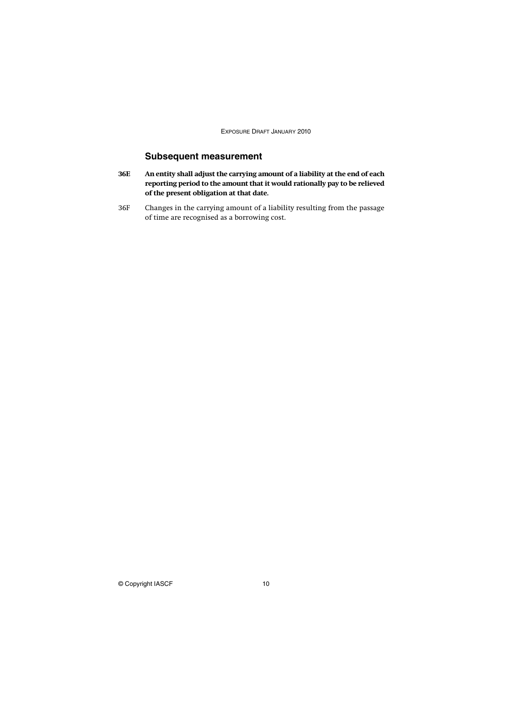## **Subsequent measurement**

- **36E An entity shall adjust the carrying amount of a liability at the end of each reporting period to the amount that it would rationally pay to be relieved of the present obligation at that date.**
- 36F Changes in the carrying amount of a liability resulting from the passage of time are recognised as a borrowing cost.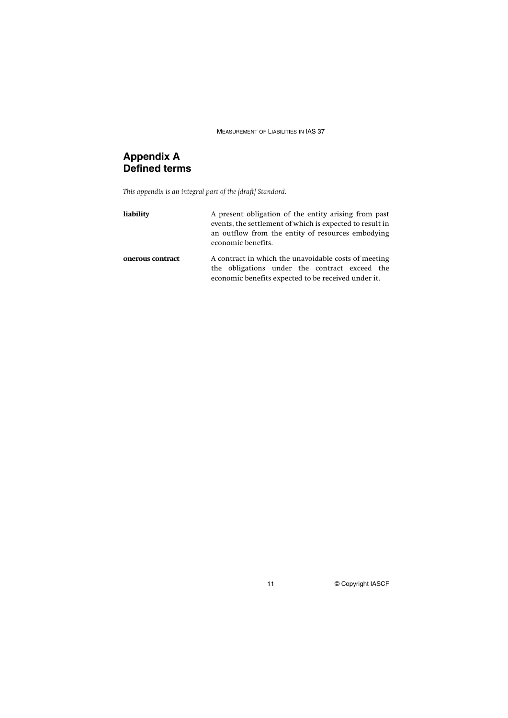## **Appendix A Defined terms**

*This appendix is an integral part of the [draft] Standard.* 

| liability        | A present obligation of the entity arising from past<br>events, the settlement of which is expected to result in<br>an outflow from the entity of resources embodying<br>economic benefits. |  |
|------------------|---------------------------------------------------------------------------------------------------------------------------------------------------------------------------------------------|--|
| onerous contract | A contract in which the unavoidable costs of meeting<br>the obligations under the contract exceed the<br>economic benefits expected to be received under it.                                |  |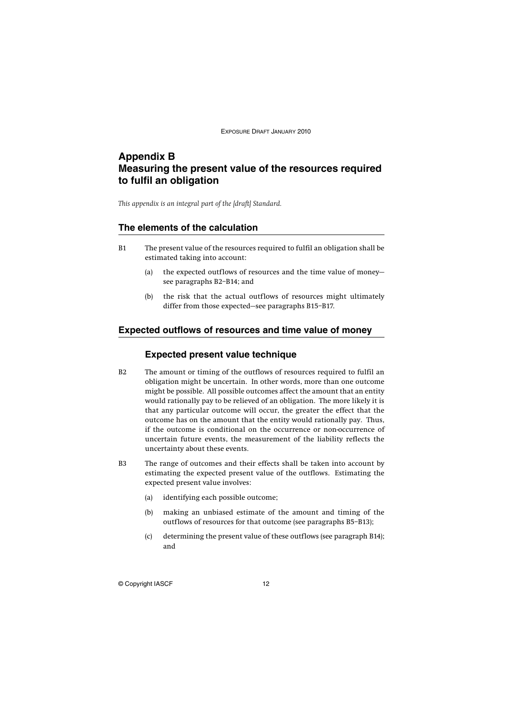## **Appendix B Measuring the present value of the resources required to fulfil an obligation**

*This appendix is an integral part of the [draft] Standard.*

#### **The elements of the calculation**

- B1 The present value of the resources required to fulfil an obligation shall be estimated taking into account:
	- (a) the expected outflows of resources and the time value of money see paragraphs B2–B14; and
	- (b) the risk that the actual outflows of resources might ultimately differ from those expected—see paragraphs B15–B17.

#### **Expected outflows of resources and time value of money**

### **Expected present value technique**

- B2 The amount or timing of the outflows of resources required to fulfil an obligation might be uncertain. In other words, more than one outcome might be possible. All possible outcomes affect the amount that an entity would rationally pay to be relieved of an obligation. The more likely it is that any particular outcome will occur, the greater the effect that the outcome has on the amount that the entity would rationally pay. Thus, if the outcome is conditional on the occurrence or non-occurrence of uncertain future events, the measurement of the liability reflects the uncertainty about these events.
- B3 The range of outcomes and their effects shall be taken into account by estimating the expected present value of the outflows. Estimating the expected present value involves:
	- (a) identifying each possible outcome;
	- (b) making an unbiased estimate of the amount and timing of the outflows of resources for that outcome (see paragraphs B5–B13);
	- (c) determining the present value of these outflows (see paragraph B14); and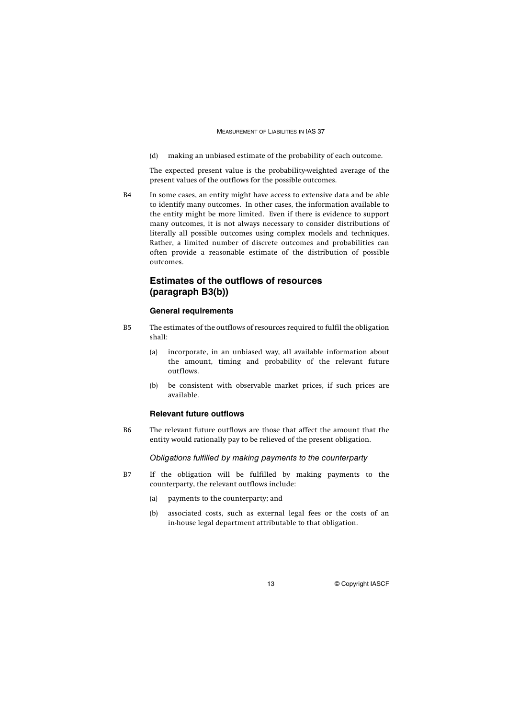(d) making an unbiased estimate of the probability of each outcome.

The expected present value is the probability-weighted average of the present values of the outflows for the possible outcomes.

B4 In some cases, an entity might have access to extensive data and be able to identify many outcomes. In other cases, the information available to the entity might be more limited. Even if there is evidence to support many outcomes, it is not always necessary to consider distributions of literally all possible outcomes using complex models and techniques. Rather, a limited number of discrete outcomes and probabilities can often provide a reasonable estimate of the distribution of possible outcomes.

## **Estimates of the outflows of resources (paragraph B3(b))**

#### **General requirements**

- B5 The estimates of the outflows of resources required to fulfil the obligation shall:
	- (a) incorporate, in an unbiased way, all available information about the amount, timing and probability of the relevant future outflows.
	- (b) be consistent with observable market prices, if such prices are available.

#### **Relevant future outflows**

B6 The relevant future outflows are those that affect the amount that the entity would rationally pay to be relieved of the present obligation.

Obligations fulfilled by making payments to the counterparty

- B7 If the obligation will be fulfilled by making payments to the counterparty, the relevant outflows include:
	- (a) payments to the counterparty; and
	- (b) associated costs, such as external legal fees or the costs of an in-house legal department attributable to that obligation.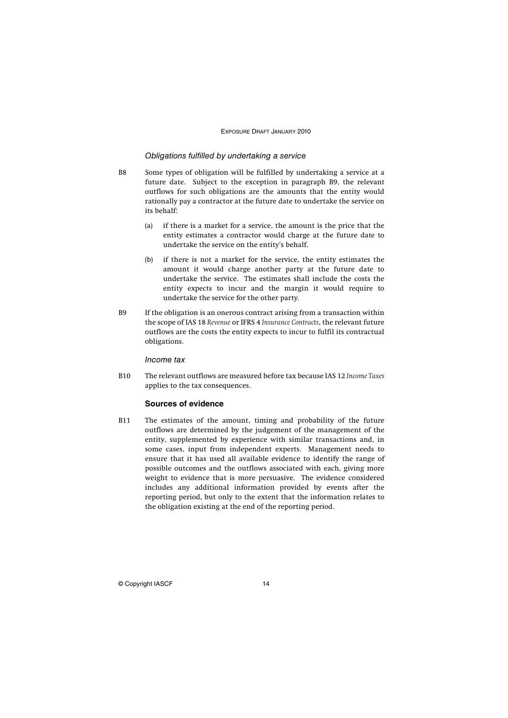#### Obligations fulfilled by undertaking a service

- B8 Some types of obligation will be fulfilled by undertaking a service at a future date. Subject to the exception in paragraph B9, the relevant outflows for such obligations are the amounts that the entity would rationally pay a contractor at the future date to undertake the service on its behalf:
	- (a) if there is a market for a service, the amount is the price that the entity estimates a contractor would charge at the future date to undertake the service on the entity's behalf.
	- (b) if there is not a market for the service, the entity estimates the amount it would charge another party at the future date to undertake the service. The estimates shall include the costs the entity expects to incur and the margin it would require to undertake the service for the other party.
- B9 If the obligation is an onerous contract arising from a transaction within the scope of IAS 18 *Revenue* or IFRS 4 *Insurance Contracts*, the relevant future outflows are the costs the entity expects to incur to fulfil its contractual obligations.

Income tax

B10 The relevant outflows are measured before tax because IAS 12 *Income Taxes* applies to the tax consequences.

#### **Sources of evidence**

B11 The estimates of the amount, timing and probability of the future outflows are determined by the judgement of the management of the entity, supplemented by experience with similar transactions and, in some cases, input from independent experts. Management needs to ensure that it has used all available evidence to identify the range of possible outcomes and the outflows associated with each, giving more weight to evidence that is more persuasive. The evidence considered includes any additional information provided by events after the reporting period, but only to the extent that the information relates to the obligation existing at the end of the reporting period.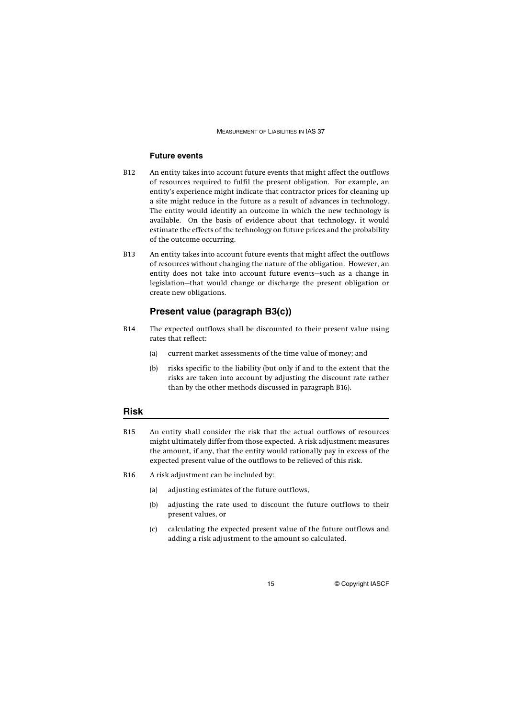#### **Future events**

- B12 An entity takes into account future events that might affect the outflows of resources required to fulfil the present obligation. For example, an entity's experience might indicate that contractor prices for cleaning up a site might reduce in the future as a result of advances in technology. The entity would identify an outcome in which the new technology is available. On the basis of evidence about that technology, it would estimate the effects of the technology on future prices and the probability of the outcome occurring.
- B13 An entity takes into account future events that might affect the outflows of resources without changing the nature of the obligation. However, an entity does not take into account future events—such as a change in legislation—that would change or discharge the present obligation or create new obligations.

## **Present value (paragraph B3(c))**

- B14 The expected outflows shall be discounted to their present value using rates that reflect:
	- (a) current market assessments of the time value of money; and
	- (b) risks specific to the liability (but only if and to the extent that the risks are taken into account by adjusting the discount rate rather than by the other methods discussed in paragraph B16).

## **Risk**

- B15 An entity shall consider the risk that the actual outflows of resources might ultimately differ from those expected. A risk adjustment measures the amount, if any, that the entity would rationally pay in excess of the expected present value of the outflows to be relieved of this risk.
- B16 A risk adjustment can be included by:
	- (a) adjusting estimates of the future outflows,
	- (b) adjusting the rate used to discount the future outflows to their present values, or
	- (c) calculating the expected present value of the future outflows and adding a risk adjustment to the amount so calculated.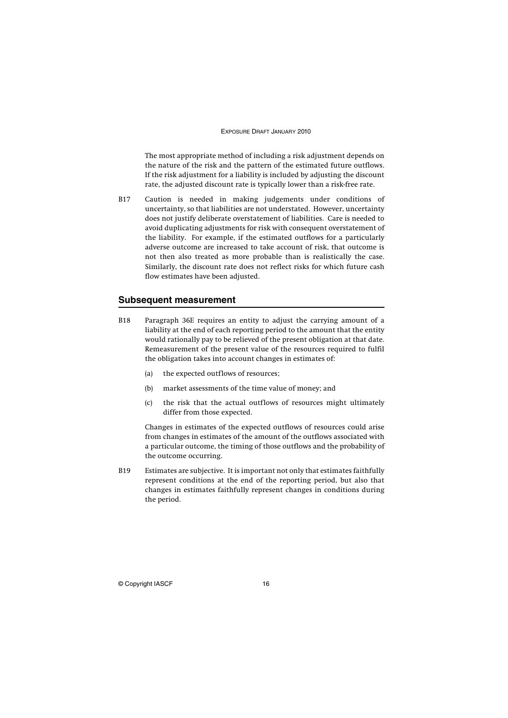The most appropriate method of including a risk adjustment depends on the nature of the risk and the pattern of the estimated future outflows. If the risk adjustment for a liability is included by adjusting the discount rate, the adjusted discount rate is typically lower than a risk-free rate.

B17 Caution is needed in making judgements under conditions of uncertainty, so that liabilities are not understated. However, uncertainty does not justify deliberate overstatement of liabilities. Care is needed to avoid duplicating adjustments for risk with consequent overstatement of the liability. For example, if the estimated outflows for a particularly adverse outcome are increased to take account of risk, that outcome is not then also treated as more probable than is realistically the case. Similarly, the discount rate does not reflect risks for which future cash flow estimates have been adjusted.

### **Subsequent measurement**

- B18 Paragraph 36E requires an entity to adjust the carrying amount of a liability at the end of each reporting period to the amount that the entity would rationally pay to be relieved of the present obligation at that date. Remeasurement of the present value of the resources required to fulfil the obligation takes into account changes in estimates of:
	- (a) the expected outflows of resources;
	- (b) market assessments of the time value of money; and
	- (c) the risk that the actual outflows of resources might ultimately differ from those expected.

Changes in estimates of the expected outflows of resources could arise from changes in estimates of the amount of the outflows associated with a particular outcome, the timing of those outflows and the probability of the outcome occurring.

B19 Estimates are subjective. It is important not only that estimates faithfully represent conditions at the end of the reporting period, but also that changes in estimates faithfully represent changes in conditions during the period.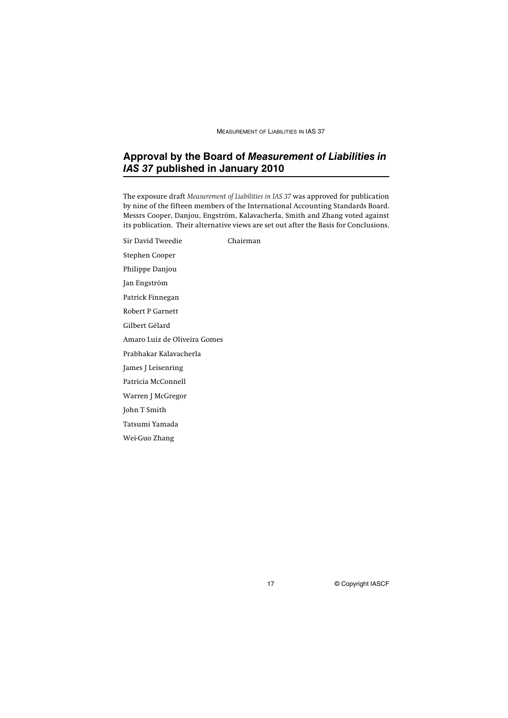## **Approval by the Board of** *Measurement of Liabilities in IAS 37* **published in January 2010**

The exposure draft *Measurement of Liabilities in IAS 37* was approved for publication by nine of the fifteen members of the International Accounting Standards Board. Messrs Cooper, Danjou, Engström, Kalavacherla, Smith and Zhang voted against its publication. Their alternative views are set out after the Basis for Conclusions.

Sir David Tweedie Chairman Stephen Cooper Philippe Danjou Jan Engström Patrick Finnegan Robert P Garnett Gilbert Gélard Amaro Luiz de Oliveira Gomes Prabhakar Kalavacherla James J Leisenring Patricia McConnell Warren J McGregor John T Smith Tatsumi Yamada Wei-Guo Zhang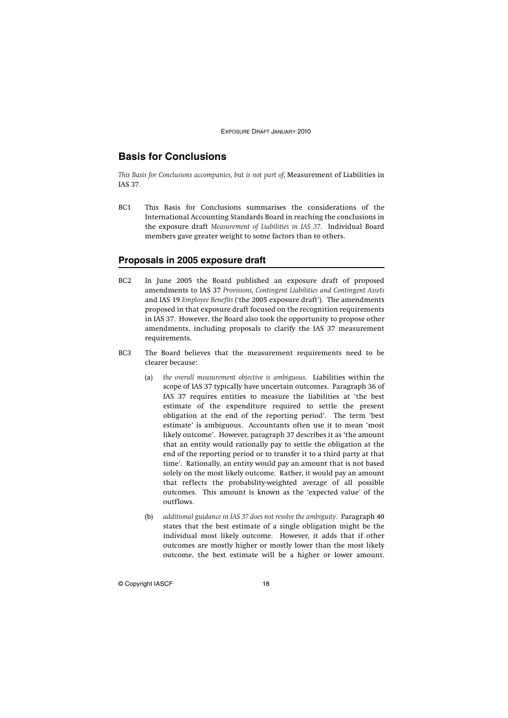## **Basis for Conclusions**

*This Basis for Conclusions accompanies, but is not part of,* Measurement of Liabilities in IAS 37*.*

BC1 This Basis for Conclusions summarises the considerations of the International Accounting Standards Board in reaching the conclusions in the exposure draft *Measurement of Liabilities in IAS 37*. Individual Board members gave greater weight to some factors than to others.

#### **Proposals in 2005 exposure draft**

- BC2 In June 2005 the Board published an exposure draft of proposed amendments to IAS 37 *Provisions, Contingent Liabilities and Contingent Assets* and IAS 19 *Employee Benefits* ('the 2005 exposure draft'). The amendments proposed in that exposure draft focused on the recognition requirements in IAS 37. However, the Board also took the opportunity to propose other amendments, including proposals to clarify the IAS 37 measurement requirements.
- BC3 The Board believes that the measurement requirements need to be clearer because:
	- (a) *the overall measurement objective is ambiguous*. Liabilities within the scope of IAS 37 typically have uncertain outcomes. Paragraph 36 of IAS 37 requires entities to measure the liabilities at 'the best estimate of the expenditure required to settle the present obligation at the end of the reporting period'. The term 'best estimate' is ambiguous. Accountants often use it to mean 'most likely outcome'. However, paragraph 37 describes it as 'the amount that an entity would rationally pay to settle the obligation at the end of the reporting period or to transfer it to a third party at that time'. Rationally, an entity would pay an amount that is not based solely on the most likely outcome. Rather, it would pay an amount that reflects the probability-weighted average of all possible outcomes. This amount is known as the 'expected value' of the outflows.
	- (b) *additional guidance in IAS 37 does not resolve the ambiguity*. Paragraph 40 states that the best estimate of a single obligation might be the individual most likely outcome. However, it adds that if other outcomes are mostly higher or mostly lower than the most likely outcome, the best estimate will be a higher or lower amount.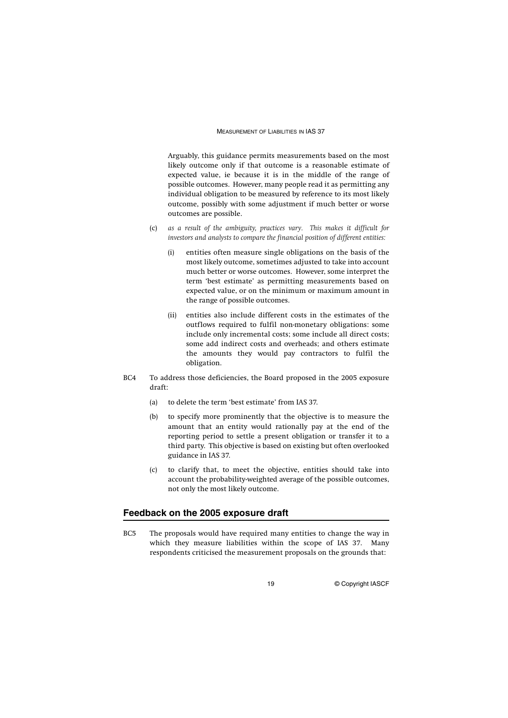Arguably, this guidance permits measurements based on the most likely outcome only if that outcome is a reasonable estimate of expected value, ie because it is in the middle of the range of possible outcomes. However, many people read it as permitting any individual obligation to be measured by reference to its most likely outcome, possibly with some adjustment if much better or worse outcomes are possible.

- (c) *as a result of the ambiguity, practices vary. This makes it difficult for investors and analysts to compare the financial position of different entities:*
	- (i) entities often measure single obligations on the basis of the most likely outcome, sometimes adjusted to take into account much better or worse outcomes. However, some interpret the term 'best estimate' as permitting measurements based on expected value, or on the minimum or maximum amount in the range of possible outcomes.
	- (ii) entities also include different costs in the estimates of the outflows required to fulfil non-monetary obligations: some include only incremental costs; some include all direct costs; some add indirect costs and overheads; and others estimate the amounts they would pay contractors to fulfil the obligation.
- BC4 To address those deficiencies, the Board proposed in the 2005 exposure draft:
	- (a) to delete the term 'best estimate' from IAS 37.
	- (b) to specify more prominently that the objective is to measure the amount that an entity would rationally pay at the end of the reporting period to settle a present obligation or transfer it to a third party. This objective is based on existing but often overlooked guidance in IAS 37.
	- (c) to clarify that, to meet the objective, entities should take into account the probability-weighted average of the possible outcomes, not only the most likely outcome.

#### **Feedback on the 2005 exposure draft**

BC5 The proposals would have required many entities to change the way in which they measure liabilities within the scope of IAS 37. Many respondents criticised the measurement proposals on the grounds that: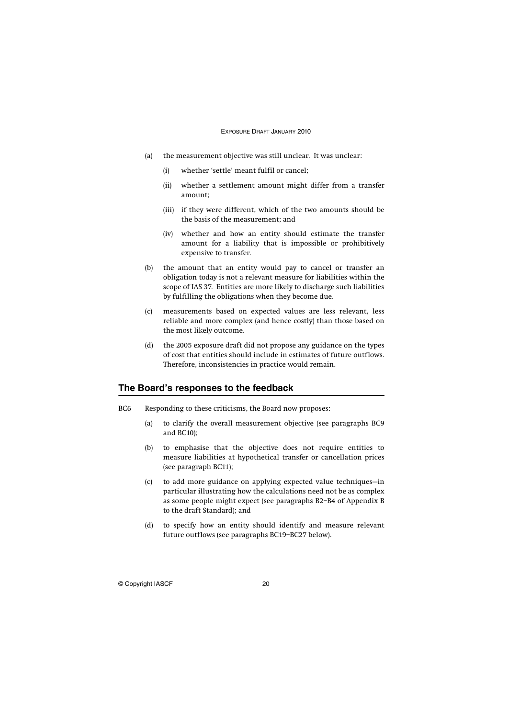- (a) the measurement objective was still unclear. It was unclear:
	- (i) whether 'settle' meant fulfil or cancel;
	- (ii) whether a settlement amount might differ from a transfer amount;
	- (iii) if they were different, which of the two amounts should be the basis of the measurement; and
	- (iv) whether and how an entity should estimate the transfer amount for a liability that is impossible or prohibitively expensive to transfer.
- (b) the amount that an entity would pay to cancel or transfer an obligation today is not a relevant measure for liabilities within the scope of IAS 37. Entities are more likely to discharge such liabilities by fulfilling the obligations when they become due.
- (c) measurements based on expected values are less relevant, less reliable and more complex (and hence costly) than those based on the most likely outcome.
- (d) the 2005 exposure draft did not propose any guidance on the types of cost that entities should include in estimates of future outflows. Therefore, inconsistencies in practice would remain.

### **The Board's responses to the feedback**

- BC6 Responding to these criticisms, the Board now proposes:
	- (a) to clarify the overall measurement objective (see paragraphs BC9 and BC10);
	- (b) to emphasise that the objective does not require entities to measure liabilities at hypothetical transfer or cancellation prices (see paragraph BC11);
	- (c) to add more guidance on applying expected value techniques—in particular illustrating how the calculations need not be as complex as some people might expect (see paragraphs B2–B4 of Appendix B to the draft Standard); and
	- (d) to specify how an entity should identify and measure relevant future outflows (see paragraphs BC19–BC27 below).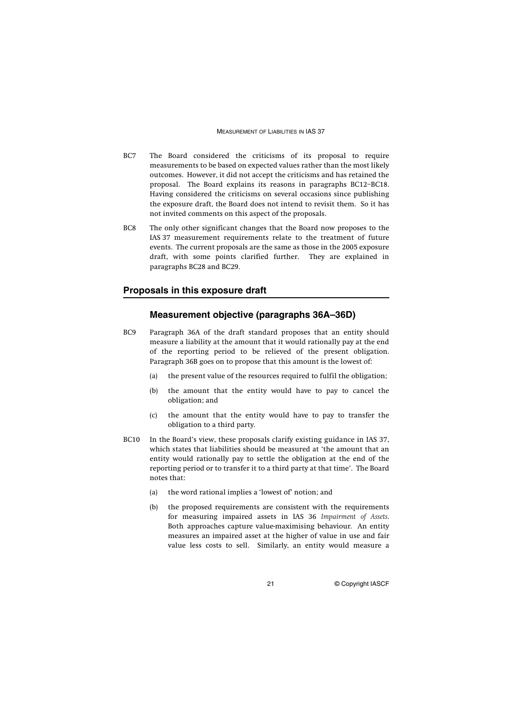- BC7 The Board considered the criticisms of its proposal to require measurements to be based on expected values rather than the most likely outcomes. However, it did not accept the criticisms and has retained the proposal. The Board explains its reasons in paragraphs BC12–BC18. Having considered the criticisms on several occasions since publishing the exposure draft, the Board does not intend to revisit them. So it has not invited comments on this aspect of the proposals.
- BC8 The only other significant changes that the Board now proposes to the IAS 37 measurement requirements relate to the treatment of future events. The current proposals are the same as those in the 2005 exposure draft, with some points clarified further. They are explained in paragraphs BC28 and BC29.

#### **Proposals in this exposure draft**

## **Measurement objective (paragraphs 36A–36D)**

- BC9 Paragraph 36A of the draft standard proposes that an entity should measure a liability at the amount that it would rationally pay at the end of the reporting period to be relieved of the present obligation. Paragraph 36B goes on to propose that this amount is the lowest of:
	- (a) the present value of the resources required to fulfil the obligation;
	- (b) the amount that the entity would have to pay to cancel the obligation; and
	- (c) the amount that the entity would have to pay to transfer the obligation to a third party.
- BC10 In the Board's view, these proposals clarify existing guidance in IAS 37, which states that liabilities should be measured at 'the amount that an entity would rationally pay to settle the obligation at the end of the reporting period or to transfer it to a third party at that time'. The Board notes that:
	- (a) the word rational implies a 'lowest of' notion; and
	- (b) the proposed requirements are consistent with the requirements for measuring impaired assets in IAS 36 *Impairment of Assets*. Both approaches capture value-maximising behaviour. An entity measures an impaired asset at the higher of value in use and fair value less costs to sell. Similarly, an entity would measure a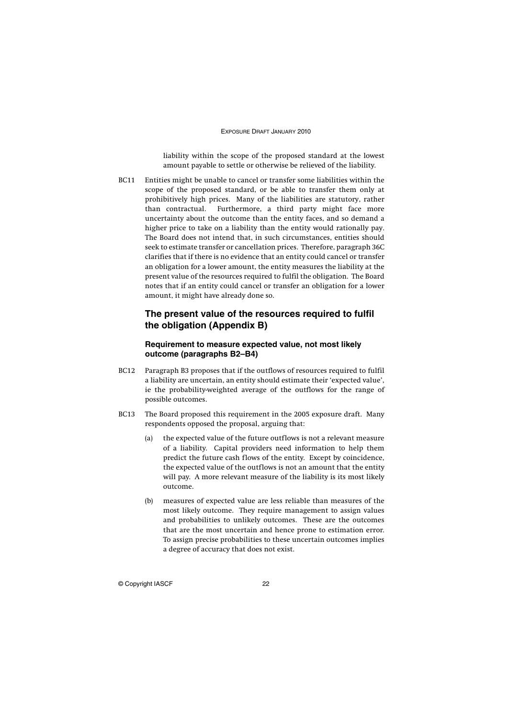liability within the scope of the proposed standard at the lowest amount payable to settle or otherwise be relieved of the liability.

BC11 Entities might be unable to cancel or transfer some liabilities within the scope of the proposed standard, or be able to transfer them only at prohibitively high prices. Many of the liabilities are statutory, rather than contractual. Furthermore, a third party might face more uncertainty about the outcome than the entity faces, and so demand a higher price to take on a liability than the entity would rationally pay. The Board does not intend that, in such circumstances, entities should seek to estimate transfer or cancellation prices. Therefore, paragraph 36C clarifies that if there is no evidence that an entity could cancel or transfer an obligation for a lower amount, the entity measures the liability at the present value of the resources required to fulfil the obligation. The Board notes that if an entity could cancel or transfer an obligation for a lower amount, it might have already done so.

## **The present value of the resources required to fulfil the obligation (Appendix B)**

#### **Requirement to measure expected value, not most likely outcome (paragraphs B2–B4)**

- BC12 Paragraph B3 proposes that if the outflows of resources required to fulfil a liability are uncertain, an entity should estimate their 'expected value', ie the probability-weighted average of the outflows for the range of possible outcomes.
- BC13 The Board proposed this requirement in the 2005 exposure draft. Many respondents opposed the proposal, arguing that:
	- (a) the expected value of the future outflows is not a relevant measure of a liability. Capital providers need information to help them predict the future cash flows of the entity. Except by coincidence, the expected value of the outflows is not an amount that the entity will pay. A more relevant measure of the liability is its most likely outcome.
	- (b) measures of expected value are less reliable than measures of the most likely outcome. They require management to assign values and probabilities to unlikely outcomes. These are the outcomes that are the most uncertain and hence prone to estimation error. To assign precise probabilities to these uncertain outcomes implies a degree of accuracy that does not exist.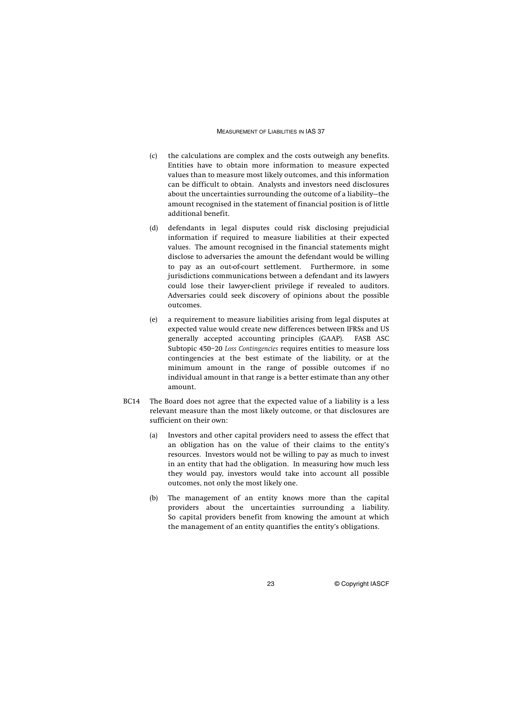- (c) the calculations are complex and the costs outweigh any benefits. Entities have to obtain more information to measure expected values than to measure most likely outcomes, and this information can be difficult to obtain. Analysts and investors need disclosures about the uncertainties surrounding the outcome of a liability—the amount recognised in the statement of financial position is of little additional benefit.
- (d) defendants in legal disputes could risk disclosing prejudicial information if required to measure liabilities at their expected values. The amount recognised in the financial statements might disclose to adversaries the amount the defendant would be willing to pay as an out-of-court settlement. Furthermore, in some jurisdictions communications between a defendant and its lawyers could lose their lawyer-client privilege if revealed to auditors. Adversaries could seek discovery of opinions about the possible outcomes.
- (e) a requirement to measure liabilities arising from legal disputes at expected value would create new differences between IFRSs and US generally accepted accounting principles (GAAP). FASB ASC Subtopic 450–20 *Loss Contingencies* requires entities to measure loss contingencies at the best estimate of the liability, or at the minimum amount in the range of possible outcomes if no individual amount in that range is a better estimate than any other amount.
- BC14 The Board does not agree that the expected value of a liability is a less relevant measure than the most likely outcome, or that disclosures are sufficient on their own:
	- (a) Investors and other capital providers need to assess the effect that an obligation has on the value of their claims to the entity's resources. Investors would not be willing to pay as much to invest in an entity that had the obligation. In measuring how much less they would pay, investors would take into account all possible outcomes, not only the most likely one.
	- (b) The management of an entity knows more than the capital providers about the uncertainties surrounding a liability. So capital providers benefit from knowing the amount at which the management of an entity quantifies the entity's obligations.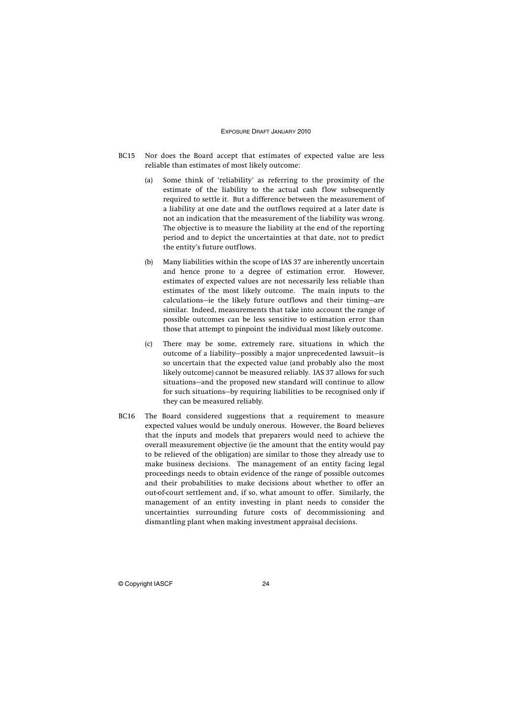- BC15 Nor does the Board accept that estimates of expected value are less reliable than estimates of most likely outcome:
	- (a) Some think of 'reliability' as referring to the proximity of the estimate of the liability to the actual cash flow subsequently required to settle it. But a difference between the measurement of a liability at one date and the outflows required at a later date is not an indication that the measurement of the liability was wrong. The objective is to measure the liability at the end of the reporting period and to depict the uncertainties at that date, not to predict the entity's future outflows.
	- (b) Many liabilities within the scope of IAS 37 are inherently uncertain and hence prone to a degree of estimation error. However, estimates of expected values are not necessarily less reliable than estimates of the most likely outcome. The main inputs to the calculations—ie the likely future outflows and their timing—are similar. Indeed, measurements that take into account the range of possible outcomes can be less sensitive to estimation error than those that attempt to pinpoint the individual most likely outcome.
	- (c) There may be some, extremely rare, situations in which the outcome of a liability—possibly a major unprecedented lawsuit—is so uncertain that the expected value (and probably also the most likely outcome) cannot be measured reliably. IAS 37 allows for such situations—and the proposed new standard will continue to allow for such situations—by requiring liabilities to be recognised only if they can be measured reliably.
- BC16 The Board considered suggestions that a requirement to measure expected values would be unduly onerous. However, the Board believes that the inputs and models that preparers would need to achieve the overall measurement objective (ie the amount that the entity would pay to be relieved of the obligation) are similar to those they already use to make business decisions. The management of an entity facing legal proceedings needs to obtain evidence of the range of possible outcomes and their probabilities to make decisions about whether to offer an out-of-court settlement and, if so, what amount to offer. Similarly, the management of an entity investing in plant needs to consider the uncertainties surrounding future costs of decommissioning and dismantling plant when making investment appraisal decisions.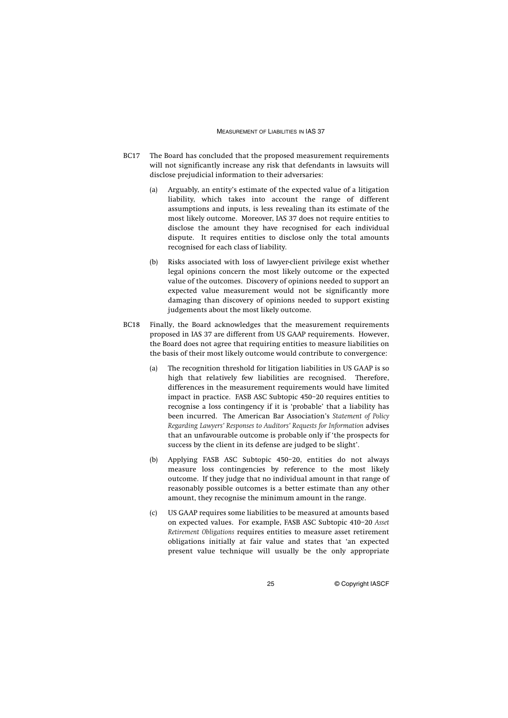- BC17 The Board has concluded that the proposed measurement requirements will not significantly increase any risk that defendants in lawsuits will disclose prejudicial information to their adversaries:
	- (a) Arguably, an entity's estimate of the expected value of a litigation liability, which takes into account the range of different assumptions and inputs, is less revealing than its estimate of the most likely outcome. Moreover, IAS 37 does not require entities to disclose the amount they have recognised for each individual dispute. It requires entities to disclose only the total amounts recognised for each class of liability.
	- (b) Risks associated with loss of lawyer-client privilege exist whether legal opinions concern the most likely outcome or the expected value of the outcomes. Discovery of opinions needed to support an expected value measurement would not be significantly more damaging than discovery of opinions needed to support existing judgements about the most likely outcome.
- BC18 Finally, the Board acknowledges that the measurement requirements proposed in IAS 37 are different from US GAAP requirements. However, the Board does not agree that requiring entities to measure liabilities on the basis of their most likely outcome would contribute to convergence:
	- (a) The recognition threshold for litigation liabilities in US GAAP is so high that relatively few liabilities are recognised. Therefore, differences in the measurement requirements would have limited impact in practice. FASB ASC Subtopic 450–20 requires entities to recognise a loss contingency if it is 'probable' that a liability has been incurred. The American Bar Association's *Statement of Policy Regarding Lawyers' Responses to Auditors' Requests for Information* advises that an unfavourable outcome is probable only if 'the prospects for success by the client in its defense are judged to be slight'.
	- (b) Applying FASB ASC Subtopic 450–20, entities do not always measure loss contingencies by reference to the most likely outcome. If they judge that no individual amount in that range of reasonably possible outcomes is a better estimate than any other amount, they recognise the minimum amount in the range.
	- (c) US GAAP requires some liabilities to be measured at amounts based on expected values. For example, FASB ASC Subtopic 410–20 *Asset Retirement Obligations* requires entities to measure asset retirement obligations initially at fair value and states that 'an expected present value technique will usually be the only appropriate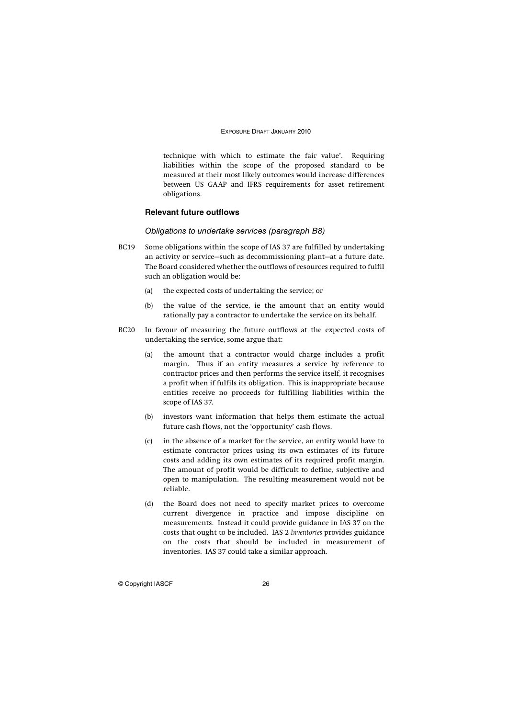technique with which to estimate the fair value'. Requiring liabilities within the scope of the proposed standard to be measured at their most likely outcomes would increase differences between US GAAP and IFRS requirements for asset retirement obligations.

#### **Relevant future outflows**

#### Obligations to undertake services (paragraph B8)

- BC19 Some obligations within the scope of IAS 37 are fulfilled by undertaking an activity or service—such as decommissioning plant—at a future date. The Board considered whether the outflows of resources required to fulfil such an obligation would be:
	- (a) the expected costs of undertaking the service; or
	- (b) the value of the service, ie the amount that an entity would rationally pay a contractor to undertake the service on its behalf.
- BC20 In favour of measuring the future outflows at the expected costs of undertaking the service, some argue that:
	- (a) the amount that a contractor would charge includes a profit margin. Thus if an entity measures a service by reference to contractor prices and then performs the service itself, it recognises a profit when if fulfils its obligation. This is inappropriate because entities receive no proceeds for fulfilling liabilities within the scope of IAS 37.
	- (b) investors want information that helps them estimate the actual future cash flows, not the 'opportunity' cash flows.
	- (c) in the absence of a market for the service, an entity would have to estimate contractor prices using its own estimates of its future costs and adding its own estimates of its required profit margin. The amount of profit would be difficult to define, subjective and open to manipulation. The resulting measurement would not be reliable.
	- (d) the Board does not need to specify market prices to overcome current divergence in practice and impose discipline on measurements. Instead it could provide guidance in IAS 37 on the costs that ought to be included. IAS 2 *Inventories* provides guidance on the costs that should be included in measurement of inventories. IAS 37 could take a similar approach.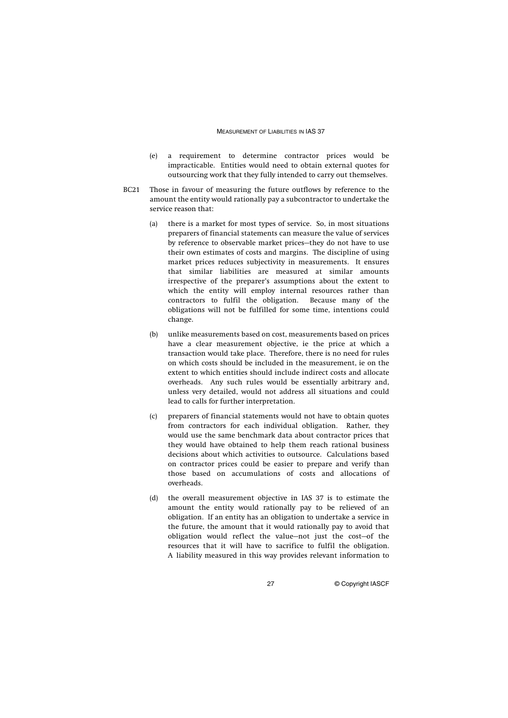- (e) a requirement to determine contractor prices would be impracticable. Entities would need to obtain external quotes for outsourcing work that they fully intended to carry out themselves.
- BC21 Those in favour of measuring the future outflows by reference to the amount the entity would rationally pay a subcontractor to undertake the service reason that:
	- (a) there is a market for most types of service. So, in most situations preparers of financial statements can measure the value of services by reference to observable market prices—they do not have to use their own estimates of costs and margins. The discipline of using market prices reduces subjectivity in measurements. It ensures that similar liabilities are measured at similar amounts irrespective of the preparer's assumptions about the extent to which the entity will employ internal resources rather than contractors to fulfil the obligation. Because many of the obligations will not be fulfilled for some time, intentions could change.
	- (b) unlike measurements based on cost, measurements based on prices have a clear measurement objective, ie the price at which a transaction would take place. Therefore, there is no need for rules on which costs should be included in the measurement, ie on the extent to which entities should include indirect costs and allocate overheads. Any such rules would be essentially arbitrary and, unless very detailed, would not address all situations and could lead to calls for further interpretation.
	- (c) preparers of financial statements would not have to obtain quotes from contractors for each individual obligation. Rather, they would use the same benchmark data about contractor prices that they would have obtained to help them reach rational business decisions about which activities to outsource. Calculations based on contractor prices could be easier to prepare and verify than those based on accumulations of costs and allocations of overheads.
	- (d) the overall measurement objective in IAS 37 is to estimate the amount the entity would rationally pay to be relieved of an obligation. If an entity has an obligation to undertake a service in the future, the amount that it would rationally pay to avoid that obligation would reflect the value—not just the cost—of the resources that it will have to sacrifice to fulfil the obligation. A liability measured in this way provides relevant information to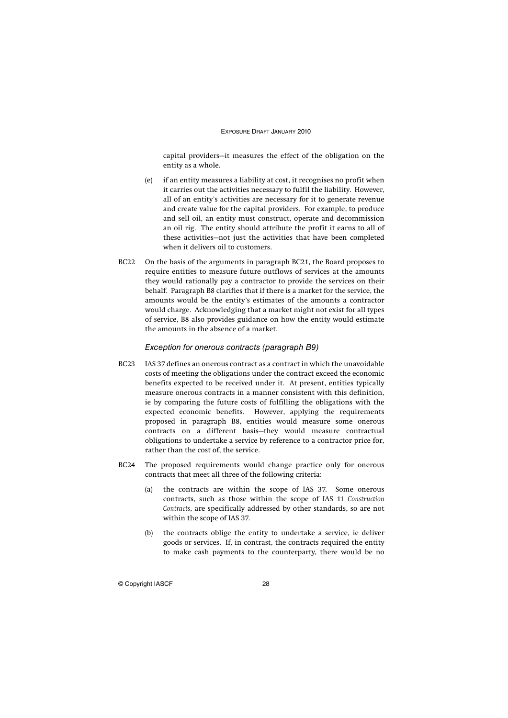capital providers—it measures the effect of the obligation on the entity as a whole.

- (e) if an entity measures a liability at cost, it recognises no profit when it carries out the activities necessary to fulfil the liability. However, all of an entity's activities are necessary for it to generate revenue and create value for the capital providers. For example, to produce and sell oil, an entity must construct, operate and decommission an oil rig. The entity should attribute the profit it earns to all of these activities—not just the activities that have been completed when it delivers oil to customers.
- BC22 On the basis of the arguments in paragraph BC21, the Board proposes to require entities to measure future outflows of services at the amounts they would rationally pay a contractor to provide the services on their behalf. Paragraph B8 clarifies that if there is a market for the service, the amounts would be the entity's estimates of the amounts a contractor would charge. Acknowledging that a market might not exist for all types of service, B8 also provides guidance on how the entity would estimate the amounts in the absence of a market.

#### Exception for onerous contracts (paragraph B9)

- BC23 IAS 37 defines an onerous contract as a contract in which the unavoidable costs of meeting the obligations under the contract exceed the economic benefits expected to be received under it. At present, entities typically measure onerous contracts in a manner consistent with this definition, ie by comparing the future costs of fulfilling the obligations with the expected economic benefits. However, applying the requirements proposed in paragraph B8, entities would measure some onerous contracts on a different basis—they would measure contractual obligations to undertake a service by reference to a contractor price for, rather than the cost of, the service.
- BC24 The proposed requirements would change practice only for onerous contracts that meet all three of the following criteria:
	- (a) the contracts are within the scope of IAS 37. Some onerous contracts, such as those within the scope of IAS 11 *Construction Contracts*, are specifically addressed by other standards, so are not within the scope of IAS 37.
	- (b) the contracts oblige the entity to undertake a service, ie deliver goods or services. If, in contrast, the contracts required the entity to make cash payments to the counterparty, there would be no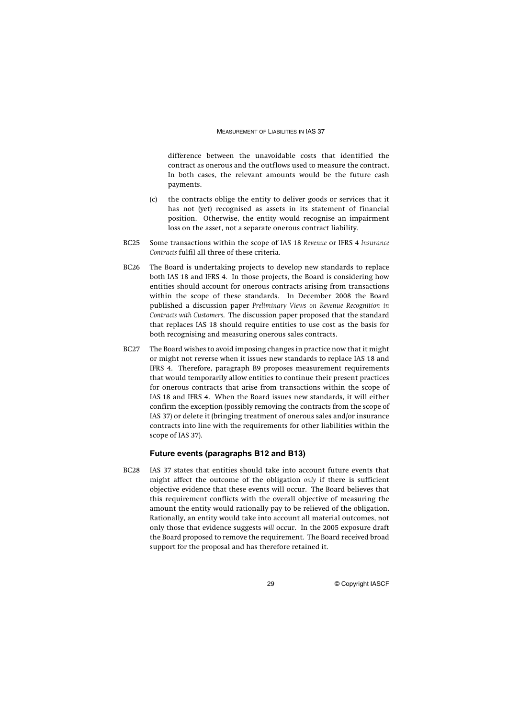difference between the unavoidable costs that identified the contract as onerous and the outflows used to measure the contract. In both cases, the relevant amounts would be the future cash payments.

- (c) the contracts oblige the entity to deliver goods or services that it has not (yet) recognised as assets in its statement of financial position. Otherwise, the entity would recognise an impairment loss on the asset, not a separate onerous contract liability.
- BC25 Some transactions within the scope of IAS 18 *Revenue* or IFRS 4 *Insurance Contracts* fulfil all three of these criteria.
- BC26 The Board is undertaking projects to develop new standards to replace both IAS 18 and IFRS 4. In those projects, the Board is considering how entities should account for onerous contracts arising from transactions within the scope of these standards. In December 2008 the Board published a discussion paper *Preliminary Views on Revenue Recognition in Contracts with Customers*. The discussion paper proposed that the standard that replaces IAS 18 should require entities to use cost as the basis for both recognising and measuring onerous sales contracts.
- BC27 The Board wishes to avoid imposing changes in practice now that it might or might not reverse when it issues new standards to replace IAS 18 and IFRS 4. Therefore, paragraph B9 proposes measurement requirements that would temporarily allow entities to continue their present practices for onerous contracts that arise from transactions within the scope of IAS 18 and IFRS 4. When the Board issues new standards, it will either confirm the exception (possibly removing the contracts from the scope of IAS 37) or delete it (bringing treatment of onerous sales and/or insurance contracts into line with the requirements for other liabilities within the scope of IAS 37).

#### **Future events (paragraphs B12 and B13)**

BC28 IAS 37 states that entities should take into account future events that might affect the outcome of the obligation *only* if there is sufficient objective evidence that these events will occur. The Board believes that this requirement conflicts with the overall objective of measuring the amount the entity would rationally pay to be relieved of the obligation. Rationally, an entity would take into account all material outcomes, not only those that evidence suggests *will* occur. In the 2005 exposure draft the Board proposed to remove the requirement. The Board received broad support for the proposal and has therefore retained it.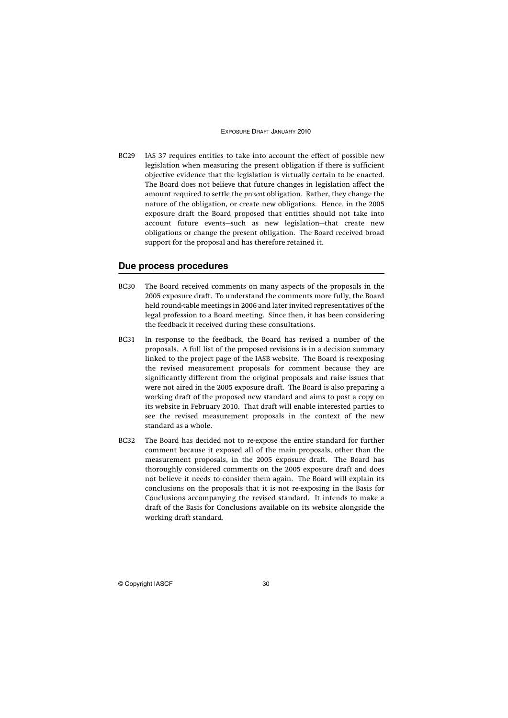BC29 IAS 37 requires entities to take into account the effect of possible new legislation when measuring the present obligation if there is sufficient objective evidence that the legislation is virtually certain to be enacted. The Board does not believe that future changes in legislation affect the amount required to settle the *present* obligation. Rather, they change the nature of the obligation, or create new obligations. Hence, in the 2005 exposure draft the Board proposed that entities should not take into account future events—such as new legislation—that create new obligations or change the present obligation. The Board received broad support for the proposal and has therefore retained it.

### **Due process procedures**

- BC30 The Board received comments on many aspects of the proposals in the 2005 exposure draft. To understand the comments more fully, the Board held round-table meetings in 2006 and later invited representatives of the legal profession to a Board meeting. Since then, it has been considering the feedback it received during these consultations.
- BC31 In response to the feedback, the Board has revised a number of the proposals. A full list of the proposed revisions is in a decision summary linked to the project page of the IASB website. The Board is re-exposing the revised measurement proposals for comment because they are significantly different from the original proposals and raise issues that were not aired in the 2005 exposure draft. The Board is also preparing a working draft of the proposed new standard and aims to post a copy on its website in February 2010. That draft will enable interested parties to see the revised measurement proposals in the context of the new standard as a whole.
- BC32 The Board has decided not to re-expose the entire standard for further comment because it exposed all of the main proposals, other than the measurement proposals, in the 2005 exposure draft. The Board has thoroughly considered comments on the 2005 exposure draft and does not believe it needs to consider them again. The Board will explain its conclusions on the proposals that it is not re-exposing in the Basis for Conclusions accompanying the revised standard. It intends to make a draft of the Basis for Conclusions available on its website alongside the working draft standard.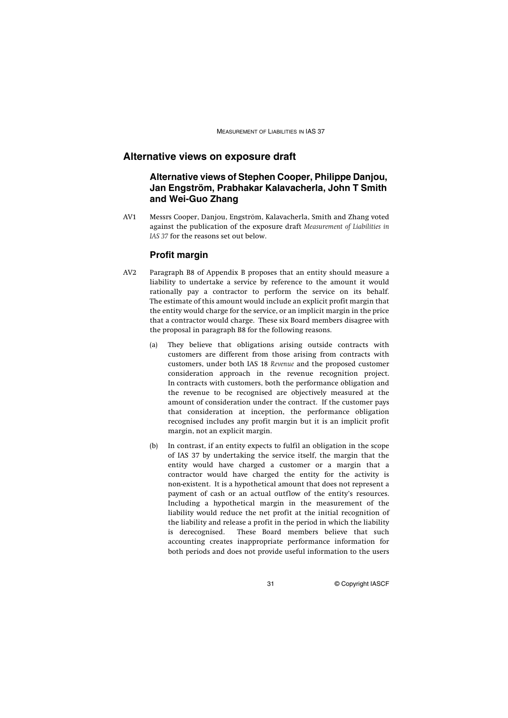## **Alternative views on exposure draft**

## **Alternative views of Stephen Cooper, Philippe Danjou, Jan Engström, Prabhakar Kalavacherla, John T Smith and Wei-Guo Zhang**

AV1 Messrs Cooper, Danjou, Engström, Kalavacherla, Smith and Zhang voted against the publication of the exposure draft *Measurement of Liabilities in IAS 37* for the reasons set out below.

#### **Profit margin**

- AV2 Paragraph B8 of Appendix B proposes that an entity should measure a liability to undertake a service by reference to the amount it would rationally pay a contractor to perform the service on its behalf. The estimate of this amount would include an explicit profit margin that the entity would charge for the service, or an implicit margin in the price that a contractor would charge. These six Board members disagree with the proposal in paragraph B8 for the following reasons.
	- (a) They believe that obligations arising outside contracts with customers are different from those arising from contracts with customers, under both IAS 18 *Revenue* and the proposed customer consideration approach in the revenue recognition project. In contracts with customers, both the performance obligation and the revenue to be recognised are objectively measured at the amount of consideration under the contract. If the customer pays that consideration at inception, the performance obligation recognised includes any profit margin but it is an implicit profit margin, not an explicit margin.
	- (b) In contrast, if an entity expects to fulfil an obligation in the scope of IAS 37 by undertaking the service itself, the margin that the entity would have charged a customer or a margin that a contractor would have charged the entity for the activity is non-existent. It is a hypothetical amount that does not represent a payment of cash or an actual outflow of the entity's resources. Including a hypothetical margin in the measurement of the liability would reduce the net profit at the initial recognition of the liability and release a profit in the period in which the liability is derecognised. These Board members believe that such accounting creates inappropriate performance information for both periods and does not provide useful information to the users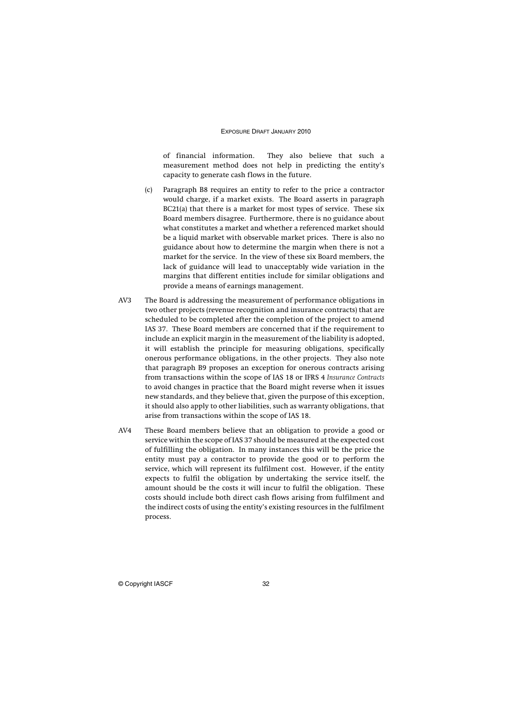of financial information. They also believe that such a measurement method does not help in predicting the entity's capacity to generate cash flows in the future.

- (c) Paragraph B8 requires an entity to refer to the price a contractor would charge, if a market exists. The Board asserts in paragraph BC21(a) that there is a market for most types of service. These six Board members disagree. Furthermore, there is no guidance about what constitutes a market and whether a referenced market should be a liquid market with observable market prices. There is also no guidance about how to determine the margin when there is not a market for the service. In the view of these six Board members, the lack of guidance will lead to unacceptably wide variation in the margins that different entities include for similar obligations and provide a means of earnings management.
- AV3 The Board is addressing the measurement of performance obligations in two other projects (revenue recognition and insurance contracts) that are scheduled to be completed after the completion of the project to amend IAS 37. These Board members are concerned that if the requirement to include an explicit margin in the measurement of the liability is adopted, it will establish the principle for measuring obligations, specifically onerous performance obligations, in the other projects. They also note that paragraph B9 proposes an exception for onerous contracts arising from transactions within the scope of IAS 18 or IFRS 4 *Insurance Contracts* to avoid changes in practice that the Board might reverse when it issues new standards, and they believe that, given the purpose of this exception, it should also apply to other liabilities, such as warranty obligations, that arise from transactions within the scope of IAS 18.
- AV4 These Board members believe that an obligation to provide a good or service within the scope of IAS 37 should be measured at the expected cost of fulfilling the obligation. In many instances this will be the price the entity must pay a contractor to provide the good or to perform the service, which will represent its fulfilment cost. However, if the entity expects to fulfil the obligation by undertaking the service itself, the amount should be the costs it will incur to fulfil the obligation. These costs should include both direct cash flows arising from fulfilment and the indirect costs of using the entity's existing resources in the fulfilment process.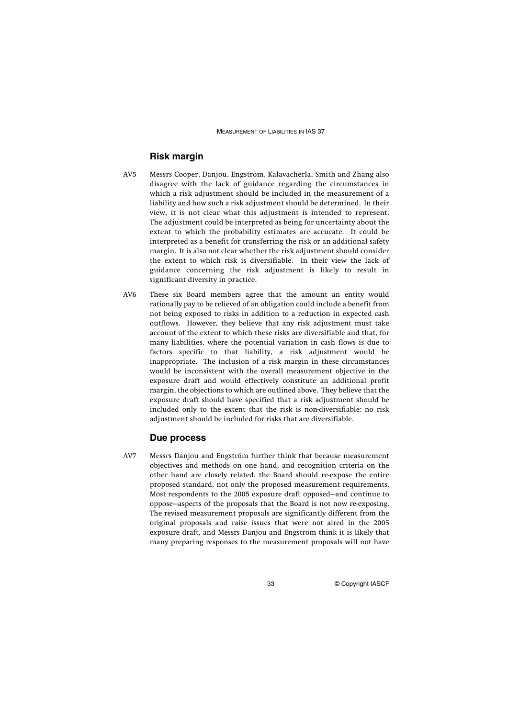## **Risk margin**

- AV5 Messrs Cooper, Danjou, Engström, Kalavacherla, Smith and Zhang also disagree with the lack of guidance regarding the circumstances in which a risk adjustment should be included in the measurement of a liability and how such a risk adjustment should be determined. In their view, it is not clear what this adjustment is intended to represent. The adjustment could be interpreted as being for uncertainty about the extent to which the probability estimates are accurate. It could be interpreted as a benefit for transferring the risk or an additional safety margin. It is also not clear whether the risk adjustment should consider the extent to which risk is diversifiable. In their view the lack of guidance concerning the risk adjustment is likely to result in significant diversity in practice.
- AV6 These six Board members agree that the amount an entity would rationally pay to be relieved of an obligation could include a benefit from not being exposed to risks in addition to a reduction in expected cash outflows. However, they believe that any risk adjustment must take account of the extent to which these risks are diversifiable and that, for many liabilities, where the potential variation in cash flows is due to factors specific to that liability, a risk adjustment would be inappropriate. The inclusion of a risk margin in these circumstances would be inconsistent with the overall measurement objective in the exposure draft and would effectively constitute an additional profit margin, the objections to which are outlined above. They believe that the exposure draft should have specified that a risk adjustment should be included only to the extent that the risk is non-diversifiable: no risk adjustment should be included for risks that are diversifiable.

### **Due process**

AV7 Messrs Danjou and Engström further think that because measurement objectives and methods on one hand, and recognition criteria on the other hand are closely related, the Board should re-expose the entire proposed standard, not only the proposed measurement requirements. Most respondents to the 2005 exposure draft opposed—and continue to oppose—aspects of the proposals that the Board is not now re-exposing. The revised measurement proposals are significantly different from the original proposals and raise issues that were not aired in the 2005 exposure draft, and Messrs Danjou and Engström think it is likely that many preparing responses to the measurement proposals will not have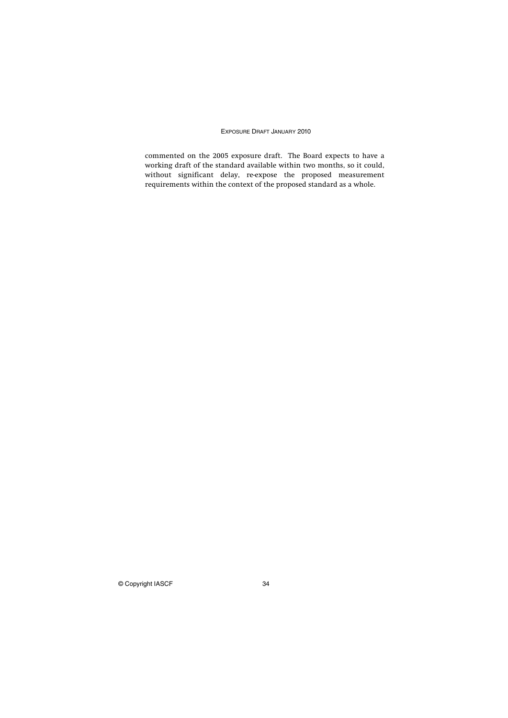commented on the 2005 exposure draft. The Board expects to have a working draft of the standard available within two months, so it could, without significant delay, re-expose the proposed measurement requirements within the context of the proposed standard as a whole.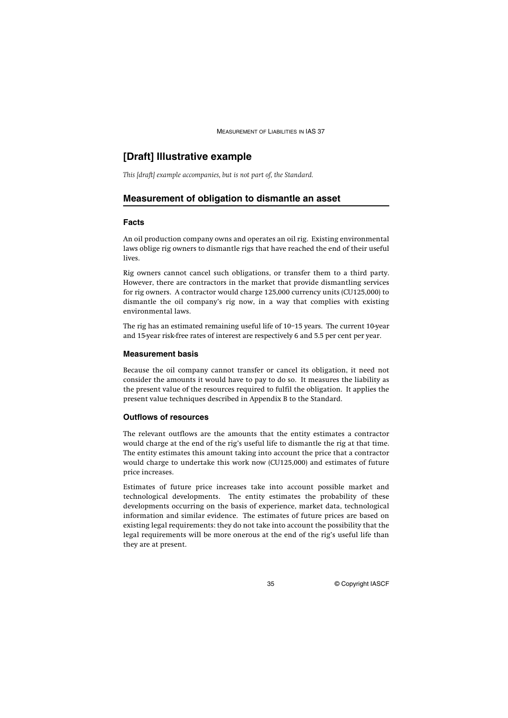## **[Draft] Illustrative example**

*This [draft] example accompanies, but is not part of, the Standard.*

#### **Measurement of obligation to dismantle an asset**

#### **Facts**

An oil production company owns and operates an oil rig. Existing environmental laws oblige rig owners to dismantle rigs that have reached the end of their useful lives.

Rig owners cannot cancel such obligations, or transfer them to a third party. However, there are contractors in the market that provide dismantling services for rig owners. A contractor would charge 125,000 currency units (CU125,000) to dismantle the oil company's rig now, in a way that complies with existing environmental laws.

The rig has an estimated remaining useful life of 10–15 years. The current 10-year and 15-year risk-free rates of interest are respectively 6 and 5.5 per cent per year.

#### **Measurement basis**

Because the oil company cannot transfer or cancel its obligation, it need not consider the amounts it would have to pay to do so. It measures the liability as the present value of the resources required to fulfil the obligation. It applies the present value techniques described in Appendix B to the Standard.

#### **Outflows of resources**

The relevant outflows are the amounts that the entity estimates a contractor would charge at the end of the rig's useful life to dismantle the rig at that time. The entity estimates this amount taking into account the price that a contractor would charge to undertake this work now (CU125,000) and estimates of future price increases.

Estimates of future price increases take into account possible market and technological developments. The entity estimates the probability of these developments occurring on the basis of experience, market data, technological information and similar evidence. The estimates of future prices are based on existing legal requirements: they do not take into account the possibility that the legal requirements will be more onerous at the end of the rig's useful life than they are at present.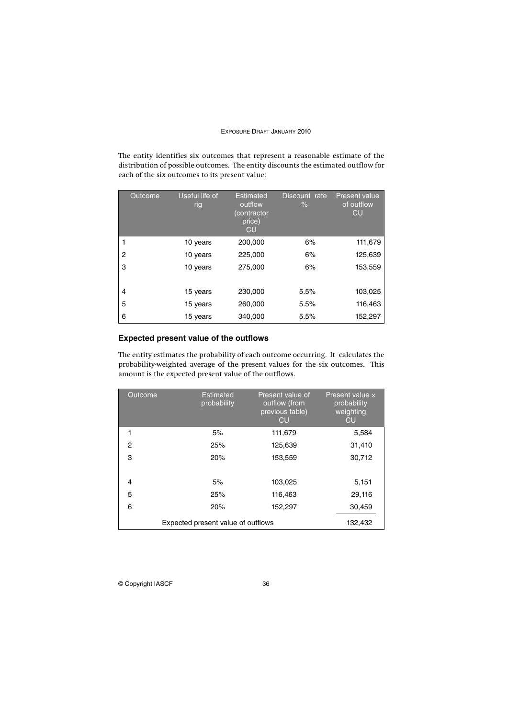The entity identifies six outcomes that represent a reasonable estimate of the distribution of possible outcomes. The entity discounts the estimated outflow for each of the six outcomes to its present value:

|   | Outcome | Useful life of<br>rig | <b>Estimated</b><br>outflow<br>(contractor<br>price)<br>CU | Discount rate<br>$\%$ | <b>Present value</b><br>of outflow<br><b>CU</b> |
|---|---------|-----------------------|------------------------------------------------------------|-----------------------|-------------------------------------------------|
|   |         | 10 years              | 200,000                                                    | 6%                    | 111,679                                         |
| 2 |         | 10 years              | 225,000                                                    | 6%                    | 125,639                                         |
| 3 |         | 10 years              | 275,000                                                    | 6%                    | 153,559                                         |
| 4 |         | 15 years              | 230,000                                                    | 5.5%                  | 103,025                                         |
| 5 |         | 15 years              | 260,000                                                    | 5.5%                  | 116,463                                         |
| 6 |         | 15 years              | 340,000                                                    | 5.5%                  | 152,297                                         |

### **Expected present value of the outflows**

The entity estimates the probability of each outcome occurring. It calculates the probability-weighted average of the present values for the six outcomes. This amount is the expected present value of the outflows.

| Outcome                            | Estimated<br>probability | Present value of<br>outflow (from<br>previous table)<br><b>CU</b> | Present value $\times$<br>probability<br>weighting<br><b>CU</b> |
|------------------------------------|--------------------------|-------------------------------------------------------------------|-----------------------------------------------------------------|
| 1                                  | 5%                       | 111,679                                                           | 5,584                                                           |
| $\overline{2}$                     | 25%                      | 125,639                                                           | 31,410                                                          |
| 3                                  | 20%                      | 153,559                                                           | 30,712                                                          |
| 4                                  | 5%                       | 103,025                                                           | 5,151                                                           |
| 5                                  | 25%                      | 116,463                                                           | 29,116                                                          |
| 6                                  | 20%                      | 152,297                                                           | 30,459                                                          |
| Expected present value of outflows | 132,432                  |                                                                   |                                                                 |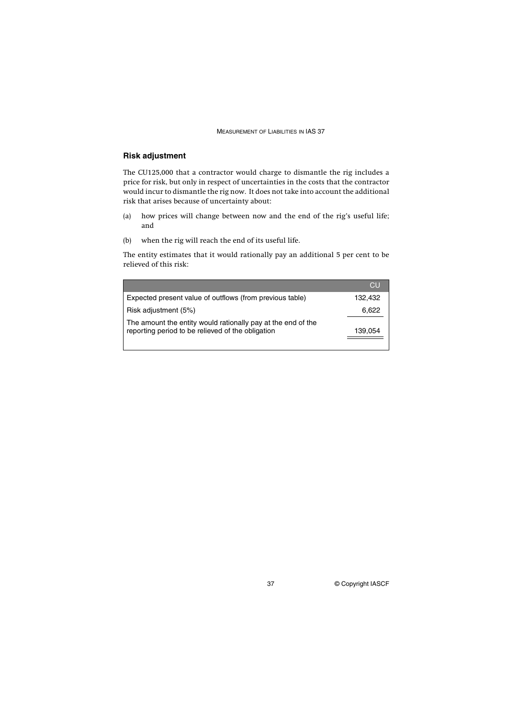## **Risk adjustment**

The CU125,000 that a contractor would charge to dismantle the rig includes a price for risk, but only in respect of uncertainties in the costs that the contractor would incur to dismantle the rig now. It does not take into account the additional risk that arises because of uncertainty about:

- (a) how prices will change between now and the end of the rig's useful life; and
- (b) when the rig will reach the end of its useful life.

The entity estimates that it would rationally pay an additional 5 per cent to be relieved of this risk:

|                                                                                                                   | CU      |
|-------------------------------------------------------------------------------------------------------------------|---------|
| Expected present value of outflows (from previous table)                                                          | 132.432 |
| Risk adjustment (5%)                                                                                              | 6,622   |
| The amount the entity would rationally pay at the end of the<br>reporting period to be relieved of the obligation | 139,054 |